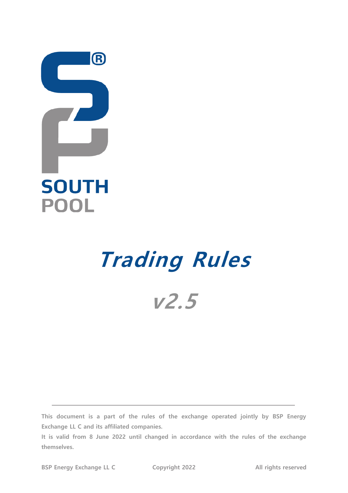

# **Trading Rules**

**v2.5**

**This document is a part of the rules of the exchange operated jointly by BSP Energy Exchange LL C and its affiliated companies.**

**It is valid from 8 June 2022 until changed in accordance with the rules of the exchange themselves.**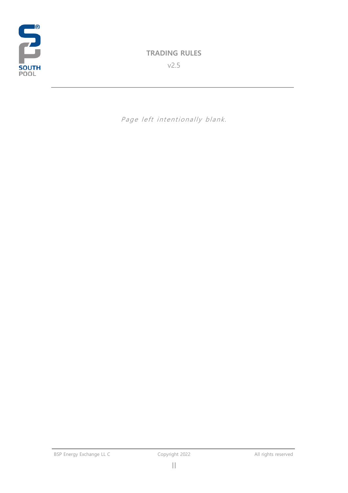

Page left intentionally blank.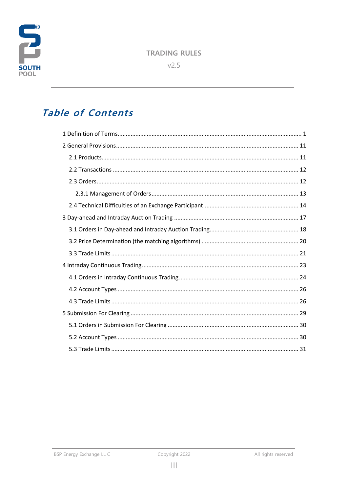

## **TRADING RULES**

## **Table of Contents**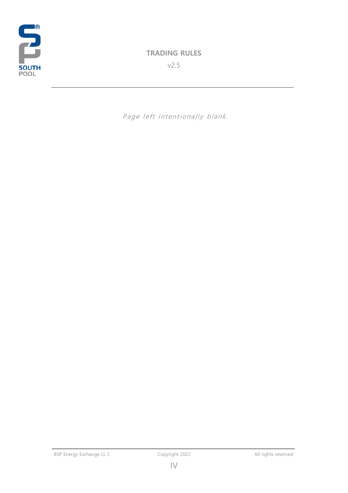

# **TRADING RULES**

v2.5

Page left intentionally blank.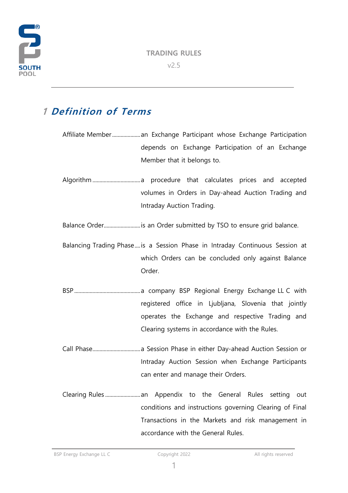

## <span id="page-4-0"></span>**1 Definition of Terms**

- Affiliate Member....................an Exchange Participant whose Exchange Participation depends on Exchange Participation of an Exchange Member that it belongs to.
- Algorithm ..................................a procedure that calculates prices and accepted volumes in Orders in Day-ahead Auction Trading and Intraday Auction Trading.
- Balance Order..........................is an Order submitted by TSO to ensure grid balance.
- Balancing Trading Phase....is a Session Phase in Intraday Continuous Session at which Orders can be concluded only against Balance Order.
- BSP...............................................a company BSP Regional Energy Exchange LL C with registered office in Ljubljana, Slovenia that jointly operates the Exchange and respective Trading and Clearing systems in accordance with the Rules.
- Call Phase..................................a Session Phase in either Day-ahead Auction Session or Intraday Auction Session when Exchange Participants can enter and manage their Orders.
- Clearing Rules .........................an Appendix to the General Rules setting out conditions and instructions governing Clearing of Final Transactions in the Markets and risk management in accordance with the General Rules.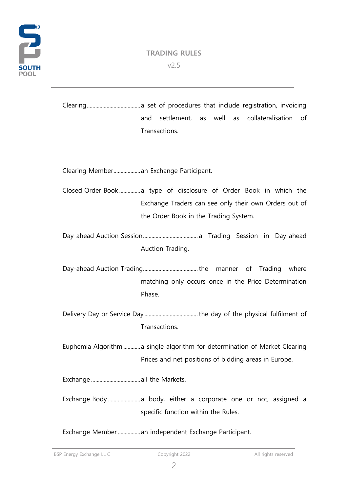

Clearing......................................a set of procedures that include registration, invoicing and settlement, as well as collateralisation of Transactions.

Clearing Member...................an Exchange Participant.

Closed Order Book ...............a type of disclosure of Order Book in which the Exchange Traders can see only their own Orders out of the Order Book in the Trading System.

Day-ahead Auction Session....................................... a Trading Session in Day-ahead Auction Trading.

Day-ahead Auction Trading.......................................the manner of Trading where matching only occurs once in the Price Determination Phase.

Delivery Day or Service Day ......................................the day of the physical fulfilment of Transactions.

Euphemia Algorithm ............a single algorithm for determination of Market Clearing Prices and net positions of bidding areas in Europe.

Exchange ...................................all the Markets.

Exchange Body .......................a body, either a corporate one or not, assigned a specific function within the Rules.

Exchange Member................an independent Exchange Participant.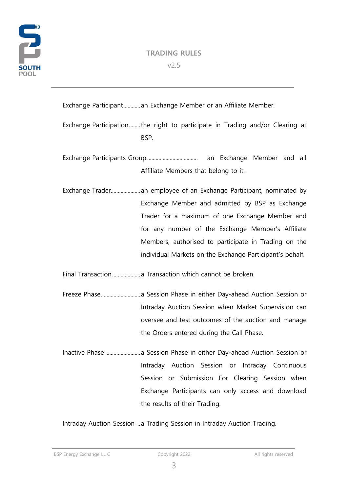

#### **TRADING RULES**

v2.5

Exchange Participant............an Exchange Member or an Affiliate Member.

- Exchange Participation........the right to participate in Trading and/or Clearing at BSP.
- Exchange Participants Group.................................... an Exchange Member and all Affiliate Members that belong to it.
- Exchange Trader.....................an employee of an Exchange Participant, nominated by Exchange Member and admitted by BSP as Exchange Trader for a maximum of one Exchange Member and for any number of the Exchange Member's Affiliate Members, authorised to participate in Trading on the individual Markets on the Exchange Participant's behalf.

Final Transaction....................a Transaction which cannot be broken.

- Freeze Phase............................a Session Phase in either Day-ahead Auction Session or Intraday Auction Session when Market Supervision can oversee and test outcomes of the auction and manage the Orders entered during the Call Phase.
- Inactive Phase ........................a Session Phase in either Day-ahead Auction Session or Intraday Auction Session or Intraday Continuous Session or Submission For Clearing Session when Exchange Participants can only access and download the results of their Trading.

Intraday Auction Session ..a Trading Session in Intraday Auction Trading.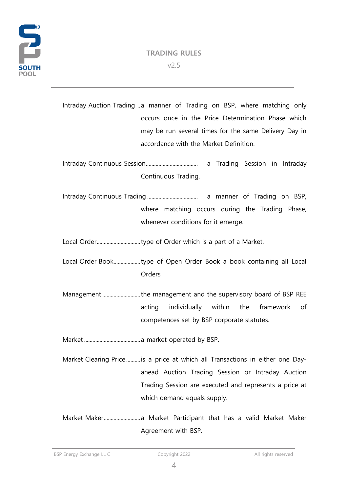

v2.5

Intraday Auction Trading ..a manner of Trading on BSP, where matching only occurs once in the Price Determination Phase which may be run several times for the same Delivery Day in accordance with the Market Definition.

Intraday Continuous Session..................................... a Trading Session in Intraday Continuous Trading.

Intraday Continuous Trading .................................... a manner of Trading on BSP, where matching occurs during the Trading Phase, whenever conditions for it emerge.

Local Order...............................type of Order which is a part of a Market.

Local Order Book...................type of Open Order Book a book containing all Local Orders

Management ...........................the management and the supervisory board of BSP REE acting individually within the framework of competences set by BSP corporate statutes.

Market ........................................a market operated by BSP.

Market Clearing Price ..........is a price at which all Transactions in either one Dayahead Auction Trading Session or Intraday Auction Trading Session are executed and represents a price at which demand equals supply.

Market Maker..........................a Market Participant that has a valid Market Maker Agreement with BSP.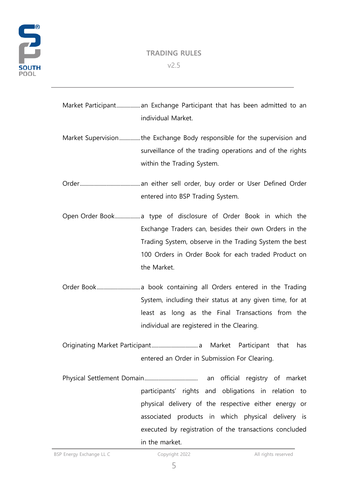

- Market Participant.................an Exchange Participant that has been admitted to an individual Market.
- Market Supervision................the Exchange Body responsible for the supervision and surveillance of the trading operations and of the rights within the Trading System.
- Order...........................................an either sell order, buy order or User Defined Order entered into BSP Trading System.
- Open Order Book..................a type of disclosure of Order Book in which the Exchange Traders can, besides their own Orders in the Trading System, observe in the Trading System the best 100 Orders in Order Book for each traded Product on the Market.
- Order Book...............................a book containing all Orders entered in the Trading System, including their status at any given time, for at least as long as the Final Transactions from the individual are registered in the Clearing.
- Originating Market Participant................................. a Market Participant that has entered an Order in Submission For Clearing.
- Physical Settlement Domain...................................... an official registry of market participants' rights and obligations in relation to physical delivery of the respective either energy or associated products in which physical delivery is executed by registration of the transactions concluded in the market.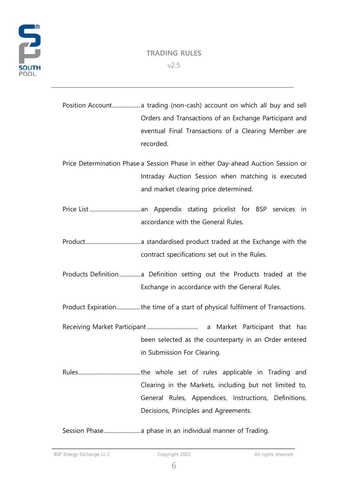

Position Account....................a trading (non-cash) account on which all buy and sell Orders and Transactions of an Exchange Participant and eventual Final Transactions of a Clearing Member are recorded.

Price Determination Phase a Session Phase in either Day-ahead Auction Session or Intraday Auction Session when matching is executed and market clearing price determined.

- Price List ....................................an Appendix stating pricelist for BSP services in accordance with the General Rules.
- Product.......................................a standardised product traded at the Exchange with the contract specifications set out in the Rules.
- Products Definition...............a Definition setting out the Products traded at the Exchange in accordance with the General Rules.
- Product Expiration.................the time of a start of physical fulfilment of Transactions.
- Receiving Market Participant .................................... a Market Participant that has been selected as the counterparty in an Order entered in Submission For Clearing.
- Rules............................................the whole set of rules applicable in Trading and Clearing in the Markets, including but not limited to, General Rules, Appendices, Instructions, Definitions, Decisions, Principles and Agreements.

Session Phase..........................a phase in an individual manner of Trading.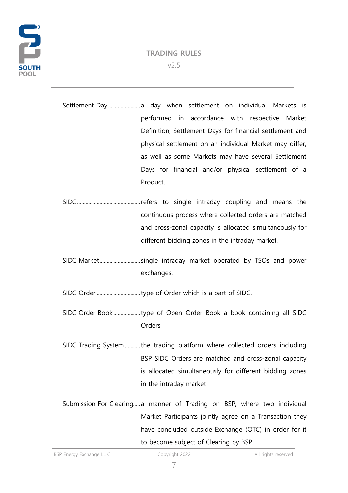

v2.5

- Settlement Day.......................a day when settlement on individual Markets is performed in accordance with respective Market Definition; Settlement Days for financial settlement and physical settlement on an individual Market may differ, as well as some Markets may have several Settlement Days for financial and/or physical settlement of a Product.
- SIDC.............................................refers to single intraday coupling and means the continuous process where collected orders are matched and cross-zonal capacity is allocated simultaneously for different bidding zones in the intraday market.
- SIDC Market.............................single intraday market operated by TSOs and power exchanges.
- SIDC Order ...............................type of Order which is a part of SIDC.
- SIDC Order Book ...................type of Open Order Book a book containing all SIDC Orders
- SIDC Trading System ...........the trading platform where collected orders including BSP SIDC Orders are matched and cross-zonal capacity is allocated simultaneously for different bidding zones in the intraday market
- Submission For Clearing.....a manner of Trading on BSP, where two individual Market Participants jointly agree on a Transaction they have concluded outside Exchange (OTC) in order for it to become subject of Clearing by BSP.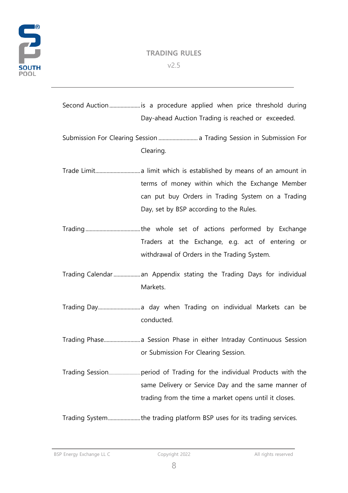

### **TRADING RULES**

#### v2.5

Second Auction......................is a procedure applied when price threshold during Day-ahead Auction Trading is reached or exceeded.

Submission For Clearing Session ............................ a Trading Session in Submission For Clearing.

Trade Limit................................a limit which is established by means of an amount in terms of money within which the Exchange Member can put buy Orders in Trading System on a Trading Day, set by BSP according to the Rules.

Trading.......................................the whole set of actions performed by Exchange Traders at the Exchange, e.g. act of entering or withdrawal of Orders in the Trading System.

Trading Calendar...................an Appendix stating the Trading Days for individual Markets.

Trading Day..............................a day when Trading on individual Markets can be conducted.

Trading Phase..........................a Session Phase in either Intraday Continuous Session or Submission For Clearing Session.

Trading Session...................................period of [Trading](http://www.investorwords.com/5030/trading.html) for the individual Products with the same Delivery or Service Day and the same manner of trading from the time a [market](http://www.investorwords.com/2962/market.html) [opens](http://www.investorwords.com/3432/open.html) until it [closes.](http://www.investorwords.com/887/close.html)

Trading System.......................the trading platform BSP uses for its trading services.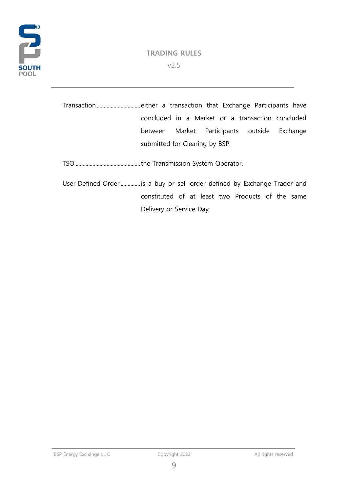

# **TRADING RULES**

#### v2.5

Transaction...............................either a transaction that Exchange Participants have concluded in a Market or a transaction concluded between Market Participants outside Exchange submitted for Clearing by BSP.

TSO ..............................................the Transmission System Operator.

User Defined Order..............is a buy or sell order defined by Exchange Trader and constituted of at least two Products of the same Delivery or Service Day.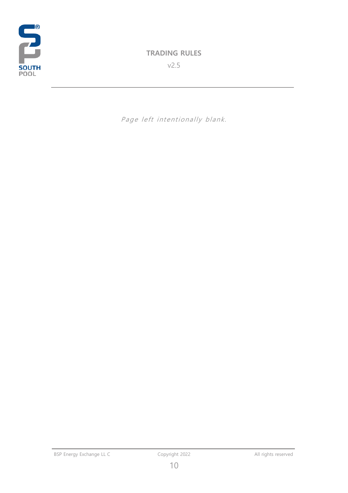

Page left intentionally blank.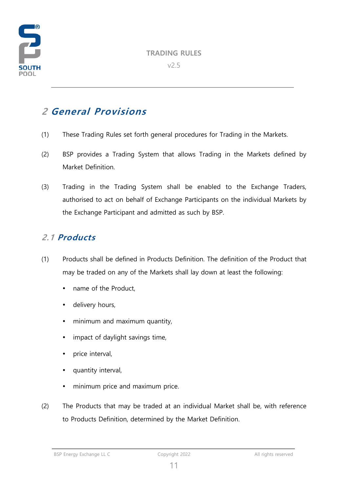

## <span id="page-14-0"></span>**2 General Provisions**

- (1) These Trading Rules set forth general procedures for Trading in the Markets.
- (2) BSP provides a Trading System that allows Trading in the Markets defined by Market Definition.
- (3) Trading in the Trading System shall be enabled to the Exchange Traders, authorised to act on behalf of Exchange Participants on the individual Markets by the Exchange Participant and admitted as such by BSP.

#### <span id="page-14-1"></span>**2.1 Products**

- (1) Products shall be defined in Products Definition. The definition of the Product that may be traded on any of the Markets shall lay down at least the following:
	- name of the Product,
	- delivery hours,
	- minimum and maximum quantity,
	- impact of daylight savings time,
	- price interval,
	- quantity interval,
	- minimum price and maximum price.
- (2) The Products that may be traded at an individual Market shall be, with reference to Products Definition, determined by the Market Definition.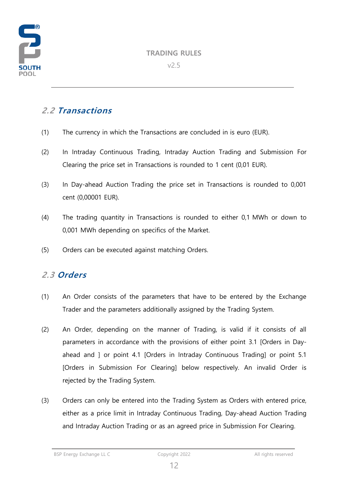

#### <span id="page-15-0"></span>**2.2 Transactions**

- (1) The currency in which the Transactions are concluded in is euro (EUR).
- (2) In Intraday Continuous Trading, Intraday Auction Trading and Submission For Clearing the price set in Transactions is rounded to 1 cent (0,01 EUR).
- (3) In Day-ahead Auction Trading the price set in Transactions is rounded to 0,001 cent (0,00001 EUR).
- (4) The trading quantity in Transactions is rounded to either 0,1 MWh or down to 0,001 MWh depending on specifics of the Market.
- <span id="page-15-1"></span>(5) Orders can be executed against matching Orders.

#### **2.3 Orders**

- (1) An Order consists of the parameters that have to be entered by the Exchange Trader and the parameters additionally assigned by the Trading System.
- (2) An Order, depending on the manner of Trading, is valid if it consists of all parameters in accordance with the provisions of either point [3.1](#page-21-0) [\[Orders in Day](#page-21-0)[ahead and \]](#page-21-0) or point [4.1](#page-27-0) [Orders in [Intraday Continuous](#page-27-0) Trading] or point [5.1](#page-33-0) [\[Orders in Submission For Clearing\]](#page-33-0) below respectively. An invalid Order is rejected by the Trading System.
- (3) Orders can only be entered into the Trading System as Orders with entered price, either as a price limit in Intraday Continuous Trading, Day-ahead Auction Trading and Intraday Auction Trading or as an agreed price in Submission For Clearing.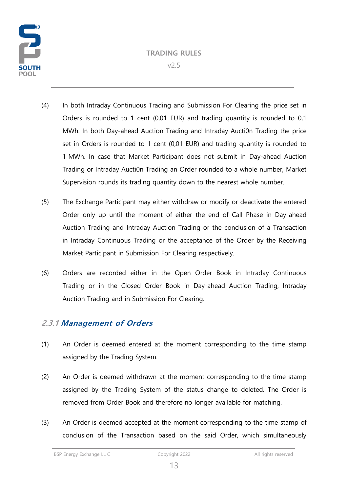

- (4) In both Intraday Continuous Trading and Submission For Clearing the price set in Orders is rounded to 1 cent (0,01 EUR) and trading quantity is rounded to 0,1 MWh. In both Day-ahead Auction Trading and Intraday Aucti0n Trading the price set in Orders is rounded to 1 cent (0,01 EUR) and trading quantity is rounded to 1 MWh. In case that Market Participant does not submit in Day-ahead Auction Trading or Intraday Aucti0n Trading an Order rounded to a whole number, Market Supervision rounds its trading quantity down to the nearest whole number.
- (5) The Exchange Participant may either withdraw or modify or deactivate the entered Order only up until the moment of either the end of Call Phase in Day-ahead Auction Trading and Intraday Auction Trading or the conclusion of a Transaction in Intraday Continuous Trading or the acceptance of the Order by the Receiving Market Participant in Submission For Clearing respectively.
- (6) Orders are recorded either in the Open Order Book in Intraday Continuous Trading or in the Closed Order Book in Day-ahead Auction Trading, Intraday Auction Trading and in Submission For Clearing.

#### <span id="page-16-0"></span>**2.3.1 Management of Orders**

- (1) An Order is deemed entered at the moment corresponding to the time stamp assigned by the Trading System.
- (2) An Order is deemed withdrawn at the moment corresponding to the time stamp assigned by the Trading System of the status change to deleted. The Order is removed from Order Book and therefore no longer available for matching.
- (3) An Order is deemed accepted at the moment corresponding to the time stamp of conclusion of the Transaction based on the said Order, which simultaneously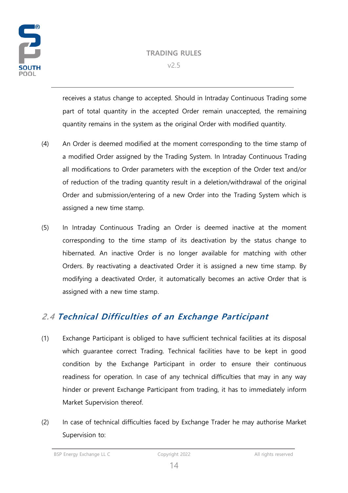

receives a status change to accepted. Should in Intraday Continuous Trading some part of total quantity in the accepted Order remain unaccepted, the remaining quantity remains in the system as the original Order with modified quantity.

- (4) An Order is deemed modified at the moment corresponding to the time stamp of a modified Order assigned by the Trading System. In Intraday Continuous Trading all modifications to Order parameters with the exception of the Order text and/or of reduction of the trading quantity result in a deletion/withdrawal of the original Order and submission/entering of a new Order into the Trading System which is assigned a new time stamp.
- (5) In Intraday Continuous Trading an Order is deemed inactive at the moment corresponding to the time stamp of its deactivation by the status change to hibernated. An inactive Order is no longer available for matching with other Orders. By reactivating a deactivated Order it is assigned a new time stamp. By modifying a deactivated Order, it automatically becomes an active Order that is assigned with a new time stamp.

#### <span id="page-17-0"></span>**2.4 Technical Difficulties of an Exchange Participant**

- (1) Exchange Participant is obliged to have sufficient technical facilities at its disposal which guarantee correct Trading. Technical facilities have to be kept in good condition by the Exchange Participant in order to ensure their continuous readiness for operation. In case of any technical difficulties that may in any way hinder or prevent Exchange Participant from trading, it has to immediately inform Market Supervision thereof.
- <span id="page-17-1"></span>(2) In case of technical difficulties faced by Exchange Trader he may authorise Market Supervision to: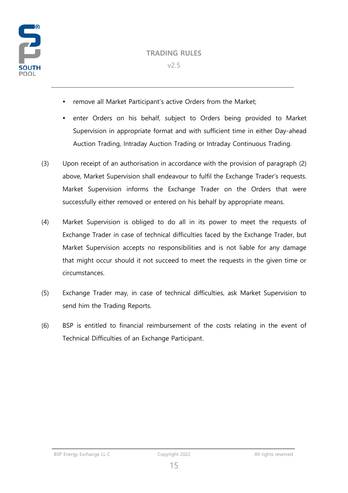

- remove all Market Participant's active Orders from the Market;
- enter Orders on his behalf, subject to Orders being provided to Market Supervision in appropriate format and with sufficient time in either Day-ahead Auction Trading, Intraday Auction Trading or Intraday Continuous Trading.
- (3) Upon receipt of an authorisation in accordance with the provision of paragraph [\(2\)](#page-17-1) above, Market Supervision shall endeavour to fulfil the Exchange Trader's requests. Market Supervision informs the Exchange Trader on the Orders that were successfully either removed or entered on his behalf by appropriate means.
- (4) Market Supervision is obliged to do all in its power to meet the requests of Exchange Trader in case of technical difficulties faced by the Exchange Trader, but Market Supervision accepts no responsibilities and is not liable for any damage that might occur should it not succeed to meet the requests in the given time or circumstances.
- (5) Exchange Trader may, in case of technical difficulties, ask Market Supervision to send him the Trading Reports.
- (6) BSP is entitled to financial reimbursement of the costs relating in the event of Technical Difficulties of an Exchange Participant.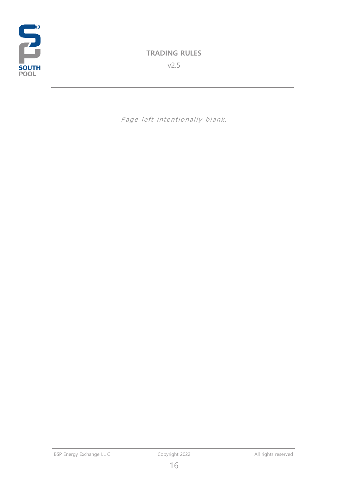

Page left intentionally blank.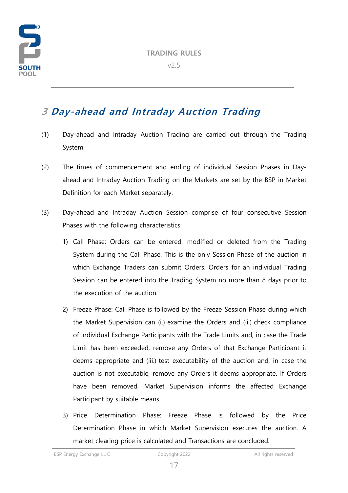

## <span id="page-20-0"></span>**3 Day-ahead and Intraday Auction Trading**

- (1) Day-ahead and Intraday Auction Trading are carried out through the Trading System.
- (2) The times of commencement and ending of individual Session Phases in Dayahead and Intraday Auction Trading on the Markets are set by the BSP in Market Definition for each Market separately.
- (3) Day-ahead and Intraday Auction Session comprise of four consecutive Session Phases with the following characteristics:
	- 1) Call Phase: Orders can be entered, modified or deleted from the Trading System during the Call Phase. This is the only Session Phase of the auction in which Exchange Traders can submit Orders. Orders for an individual Trading Session can be entered into the Trading System no more than 8 days prior to the execution of the auction.
	- 2) Freeze Phase: Call Phase is followed by the Freeze Session Phase during which the Market Supervision can (i.) examine the Orders and (ii.) check compliance of individual Exchange Participants with the Trade Limits and, in case the Trade Limit has been exceeded, remove any Orders of that Exchange Participant it deems appropriate and (iii.) test executability of the auction and, in case the auction is not executable, remove any Orders it deems appropriate. If Orders have been removed, Market Supervision informs the affected Exchange Participant by suitable means.
	- 3) Price Determination Phase: Freeze Phase is followed by the Price Determination Phase in which Market Supervision executes the auction. A market clearing price is calculated and Transactions are concluded.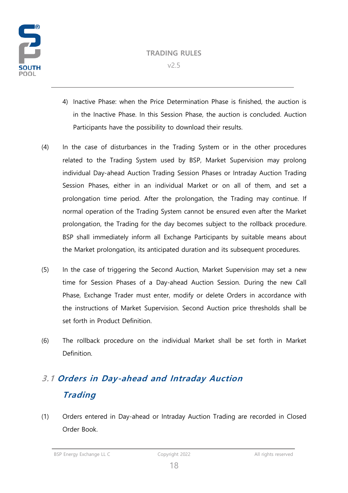

- 4) Inactive Phase: when the Price Determination Phase is finished, the auction is in the Inactive Phase. In this Session Phase, the auction is concluded. Auction Participants have the possibility to download their results.
- (4) In the case of disturbances in the Trading System or in the other procedures related to the Trading System used by BSP, Market Supervision may prolong individual Day-ahead Auction Trading Session Phases or Intraday Auction Trading Session Phases, either in an individual Market or on all of them, and set a prolongation time period. After the prolongation, the Trading may continue. If normal operation of the Trading System cannot be ensured even after the Market prolongation, the Trading for the day becomes subject to the rollback procedure. BSP shall immediately inform all Exchange Participants by suitable means about the Market prolongation, its anticipated duration and its subsequent procedures.
- (5) In the case of triggering the Second Auction, Market Supervision may set a new time for Session Phases of a Day-ahead Auction Session. During the new Call Phase, Exchange Trader must enter, modify or delete Orders in accordance with the instructions of Market Supervision. Second Auction price thresholds shall be set forth in Product Definition.
- (6) The rollback procedure on the individual Market shall be set forth in Market Definition.

# <span id="page-21-0"></span>**3.1 Orders in Day-ahead and Intraday Auction Trading**

(1) Orders entered in Day-ahead or Intraday Auction Trading are recorded in Closed Order Book.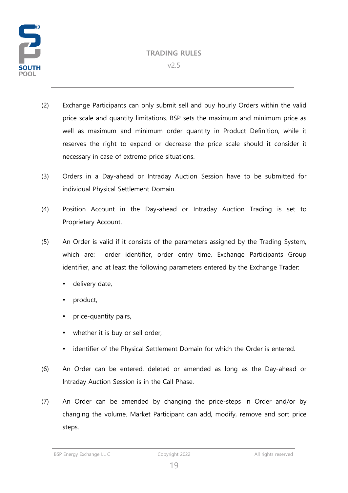

- (2) Exchange Participants can only submit sell and buy hourly Orders within the valid price scale and quantity limitations. BSP sets the maximum and minimum price as well as maximum and minimum order quantity in Product Definition, while it reserves the right to expand or decrease the price scale should it consider it necessary in case of extreme price situations.
- (3) Orders in a Day-ahead or Intraday Auction Session have to be submitted for individual Physical Settlement Domain.
- (4) Position Account in the Day-ahead or Intraday Auction Trading is set to Proprietary Account.
- (5) An Order is valid if it consists of the parameters assigned by the Trading System, which are: order identifier, order entry time, Exchange Participants Group identifier, and at least the following parameters entered by the Exchange Trader:
	- delivery date,
	- product,
	- price-quantity pairs,
	- whether it is buy or sell order,
	- identifier of the Physical Settlement Domain for which the Order is entered.
- (6) An Order can be entered, deleted or amended as long as the Day-ahead or Intraday Auction Session is in the Call Phase.
- (7) An Order can be amended by changing the price-steps in Order and/or by changing the volume. Market Participant can add, modify, remove and sort price steps.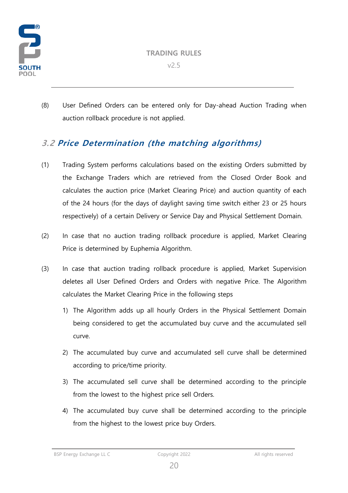

(8) User Defined Orders can be entered only for Day-ahead Auction Trading when auction rollback procedure is not applied.

#### <span id="page-23-0"></span>**3.2 Price Determination (the matching algorithms)**

- (1) Trading System performs calculations based on the existing Orders submitted by the Exchange Traders which are retrieved from the Closed Order Book and calculates the auction price (Market Clearing Price) and auction quantity of each of the 24 hours (for the days of daylight saving time switch either 23 or 25 hours respectively) of a certain Delivery or Service Day and Physical Settlement Domain.
- (2) In case that no auction trading rollback procedure is applied, Market Clearing Price is determined by Euphemia Algorithm.
- (3) In case that auction trading rollback procedure is applied, Market Supervision deletes all User Defined Orders and Orders with negative Price. The Algorithm calculates the Market Clearing Price in the following steps
	- 1) The Algorithm adds up all hourly Orders in the Physical Settlement Domain being considered to get the accumulated buy curve and the accumulated sell curve.
	- 2) The accumulated buy curve and accumulated sell curve shall be determined according to price/time priority.
	- 3) The accumulated sell curve shall be determined according to the principle from the lowest to the highest price sell Orders.
	- 4) The accumulated buy curve shall be determined according to the principle from the highest to the lowest price buy Orders.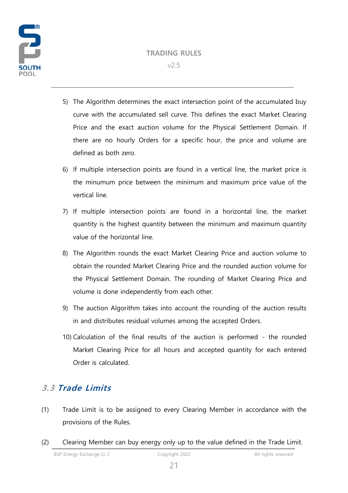

- 5) The Algorithm determines the exact intersection point of the accumulated buy curve with the accumulated sell curve. This defines the exact Market Clearing Price and the exact auction volume for the Physical Settlement Domain. If there are no hourly Orders for a specific hour, the price and volume are defined as both zero.
- 6) If multiple intersection points are found in a vertical line, the market price is the minumum price between the minimum and maximum price value of the vertical line.
- 7) If multiple intersection points are found in a horizontal line, the market quantity is the highest quantity between the minimum and maximum quantity value of the horizontal line.
- 8) The Algorithm rounds the exact Market Clearing Price and auction volume to obtain the rounded Market Clearing Price and the rounded auction volume for the Physical Settlement Domain. The rounding of Market Clearing Price and volume is done independently from each other.
- 9) The auction Algorithm takes into account the rounding of the auction results in and distributes residual volumes among the accepted Orders.
- 10) Calculation of the final results of the auction is performed the rounded Market Clearing Price for all hours and accepted quantity for each entered Order is calculated.

#### <span id="page-24-0"></span>**3.3 Trade Limits**

- (1) Trade Limit is to be assigned to every Clearing Member in accordance with the provisions of the Rules.
- (2) Clearing Member can buy energy only up to the value defined in the Trade Limit.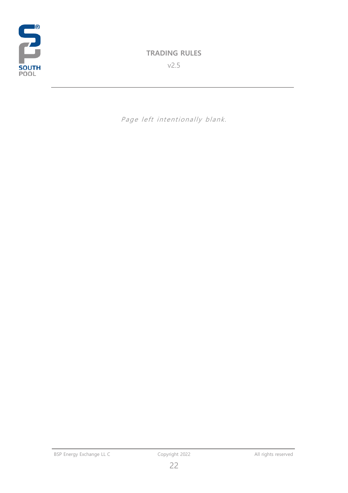

Page left intentionally blank.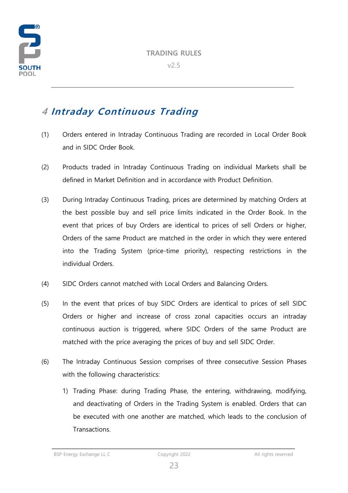

## <span id="page-26-0"></span>**4 Intraday Continuous Trading**

- (1) Orders entered in Intraday Continuous Trading are recorded in Local Order Book and in SIDC Order Book.
- (2) Products traded in Intraday Continuous Trading on individual Markets shall be defined in Market Definition and in accordance with Product Definition.
- (3) During Intraday Continuous Trading, prices are determined by matching Orders at the best possible buy and sell price limits indicated in the Order Book. In the event that prices of buy Orders are identical to prices of sell Orders or higher, Orders of the same Product are matched in the order in which they were entered into the Trading System (price-time priority), respecting restrictions in the individual Orders.
- (4) SIDC Orders cannot matched with Local Orders and Balancing Orders.
- (5) In the event that prices of buy SIDC Orders are identical to prices of sell SIDC Orders or higher and increase of cross zonal capacities occurs an intraday continuous auction is triggered, where SIDC Orders of the same Product are matched with the price averaging the prices of buy and sell SIDC Order.
- (6) The Intraday Continuous Session comprises of three consecutive Session Phases with the following characteristics:
	- 1) Trading Phase: during Trading Phase, the entering, withdrawing, modifying, and deactivating of Orders in the Trading System is enabled. Orders that can be executed with one another are matched, which leads to the conclusion of **Transactions**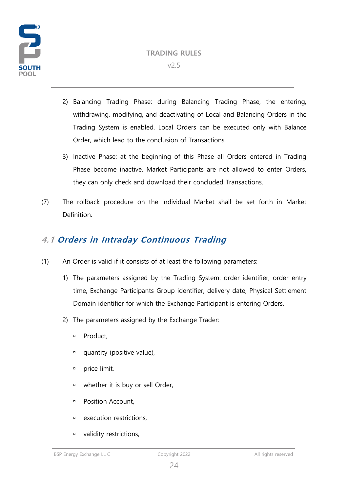

- 2) Balancing Trading Phase: during Balancing Trading Phase, the entering, withdrawing, modifying, and deactivating of Local and Balancing Orders in the Trading System is enabled. Local Orders can be executed only with Balance Order, which lead to the conclusion of Transactions.
- 3) Inactive Phase: at the beginning of this Phase all Orders entered in Trading Phase become inactive. Market Participants are not allowed to enter Orders, they can only check and download their concluded Transactions.
- (7) The rollback procedure on the individual Market shall be set forth in Market Definition.

#### <span id="page-27-0"></span>**4.1 Orders in Intraday Continuous Trading**

- (1) An Order is valid if it consists of at least the following parameters:
	- 1) The parameters assigned by the Trading System: order identifier, order entry time, Exchange Participants Group identifier, delivery date, Physical Settlement Domain identifier for which the Exchange Participant is entering Orders.
	- 2) The parameters assigned by the Exchange Trader:
		- <sup>□</sup> Product,
		- <sup>o</sup> quantity (positive value),
		- **price limit,**
		- <sup>o</sup> whether it is buy or sell Order,
		- **Position Account,**
		- **execution restrictions,**
		- <sup>D</sup> validity restrictions,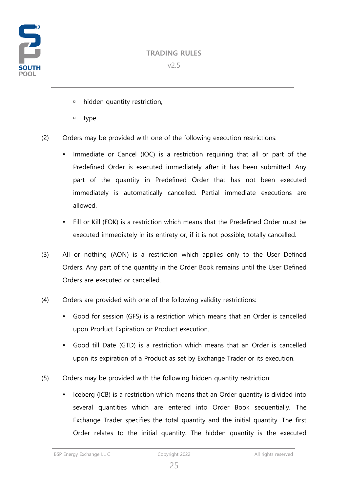

# **TRADING RULES**

- □ hidden quantity restriction,
- <sup>o</sup> type.
- (2) Orders may be provided with one of the following execution restrictions:
	- Immediate or Cancel (IOC) is a restriction requiring that all or part of the Predefined Order is executed immediately after it has been submitted. Any part of the quantity in Predefined Order that has not been executed immediately is automatically cancelled. Partial immediate executions are allowed.
	- Fill or Kill (FOK) is a restriction which means that the Predefined Order must be executed immediately in its entirety or, if it is not possible, totally cancelled.
- (3) All or nothing (AON) is a restriction which applies only to the User Defined Orders. Any part of the quantity in the Order Book remains until the User Defined Orders are executed or cancelled.
- (4) Orders are provided with one of the following validity restrictions:
	- Good for session (GFS) is a restriction which means that an Order is cancelled upon Product Expiration or Product execution.
	- Good till Date (GTD) is a restriction which means that an Order is cancelled upon its expiration of a Product as set by Exchange Trader or its execution.
- (5) Orders may be provided with the following hidden quantity restriction:
	- Iceberg (ICB) is a restriction which means that an Order quantity is divided into several quantities which are entered into Order Book sequentially. The Exchange Trader specifies the total quantity and the initial quantity. The first Order relates to the initial quantity. The hidden quantity is the executed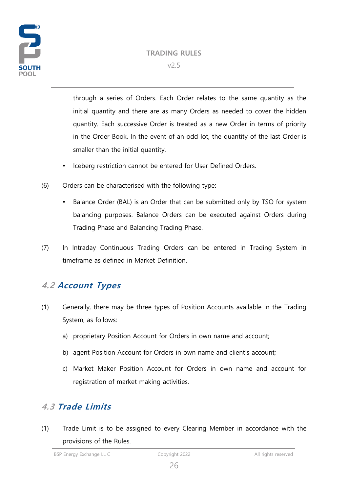

through a series of Orders. Each Order relates to the same quantity as the initial quantity and there are as many Orders as needed to cover the hidden quantity. Each successive Order is treated as a new Order in terms of priority in the Order Book. In the event of an odd lot, the quantity of the last Order is smaller than the initial quantity.

- Iceberg restriction cannot be entered for User Defined Orders.
- (6) Orders can be characterised with the following type:
	- Balance Order (BAL) is an Order that can be submitted only by TSO for system balancing purposes. Balance Orders can be executed against Orders during Trading Phase and Balancing Trading Phase.
- (7) In Intraday Continuous Trading Orders can be entered in Trading System in timeframe as defined in Market Definition.

#### <span id="page-29-0"></span>**4.2 Account Types**

- (1) Generally, there may be three types of Position Accounts available in the Trading System, as follows:
	- a) proprietary Position Account for Orders in own name and account;
	- b) agent Position Account for Orders in own name and client's account;
	- c) Market Maker Position Account for Orders in own name and account for registration of market making activities.

#### <span id="page-29-1"></span>**4.3 Trade Limits**

(1) Trade Limit is to be assigned to every Clearing Member in accordance with the provisions of the Rules.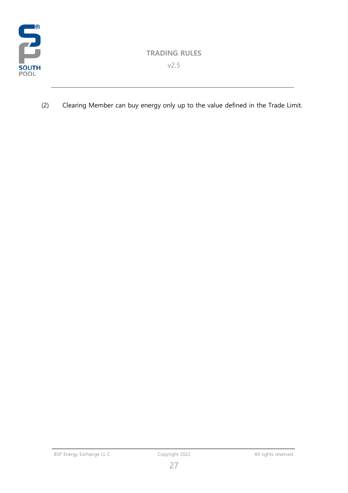

(2) Clearing Member can buy energy only up to the value defined in the Trade Limit.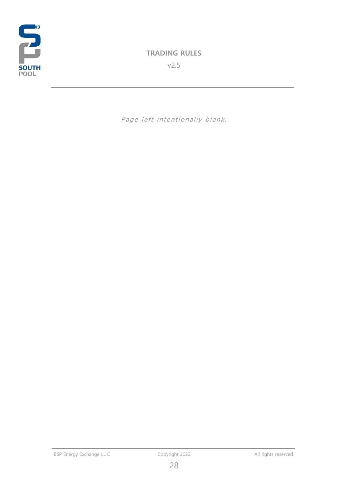

Page left intentionally blank.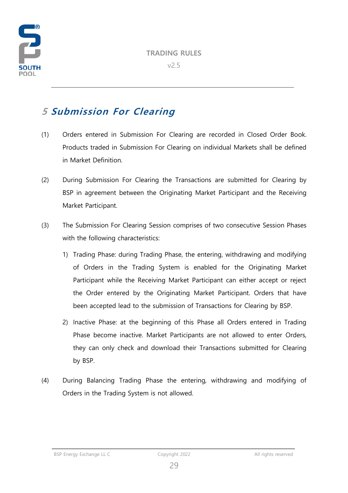

## <span id="page-32-0"></span>**5 Submission For Clearing**

- (1) Orders entered in Submission For Clearing are recorded in Closed Order Book. Products traded in Submission For Clearing on individual Markets shall be defined in Market Definition.
- (2) During Submission For Clearing the Transactions are submitted for Clearing by BSP in agreement between the Originating Market Participant and the Receiving Market Participant.
- (3) The Submission For Clearing Session comprises of two consecutive Session Phases with the following characteristics:
	- 1) Trading Phase: during Trading Phase, the entering, withdrawing and modifying of Orders in the Trading System is enabled for the Originating Market Participant while the Receiving Market Participant can either accept or reject the Order entered by the Originating Market Participant. Orders that have been accepted lead to the submission of Transactions for Clearing by BSP.
	- 2) Inactive Phase: at the beginning of this Phase all Orders entered in Trading Phase become inactive. Market Participants are not allowed to enter Orders, they can only check and download their Transactions submitted for Clearing by BSP.
- (4) During Balancing Trading Phase the entering, withdrawing and modifying of Orders in the Trading System is not allowed.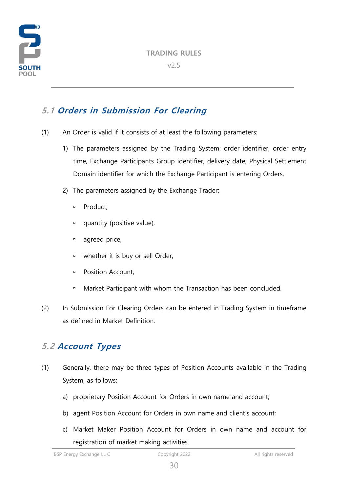

## <span id="page-33-0"></span>**5.1 Orders in Submission For Clearing**

- (1) An Order is valid if it consists of at least the following parameters:
	- 1) The parameters assigned by the Trading System: order identifier, order entry time, Exchange Participants Group identifier, delivery date, Physical Settlement Domain identifier for which the Exchange Participant is entering Orders,
	- 2) The parameters assigned by the Exchange Trader:
		- **Product.**
		- <sup>n</sup> quantity (positive value),
		- <sup>□</sup> agreed price,
		- <sup>o</sup> whether it is buy or sell Order,
		- **Position Account,**
		- Market Participant with whom the Transaction has been concluded.
- (2) In Submission For Clearing Orders can be entered in Trading System in timeframe as defined in Market Definition.

#### <span id="page-33-1"></span>**5.2 Account Types**

- (1) Generally, there may be three types of Position Accounts available in the Trading System, as follows:
	- a) proprietary Position Account for Orders in own name and account;
	- b) agent Position Account for Orders in own name and client's account;
	- c) Market Maker Position Account for Orders in own name and account for registration of market making activities.